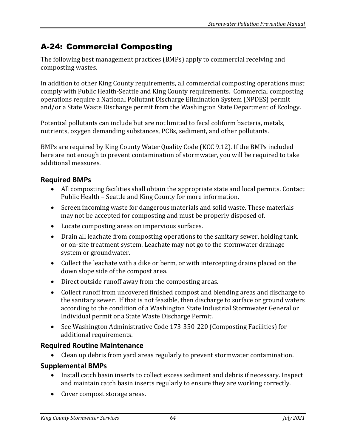# A-24: Commercial Composting

The following best management practices (BMPs) apply to commercial receiving and composting wastes.

In addition to other King County requirements, all commercial composting operations must comply with Public Health-Seattle and King County requirements. Commercial composting operations require a National Pollutant Discharge Elimination System (NPDES) permit and/or a State Waste Discharge permit from the Washington State Department of Ecology.

Potential pollutants can include but are not limited to fecal coliform bacteria, metals, nutrients, oxygen demanding substances, PCBs, sediment, and other pollutants.

BMPs are required by King County Water Quality Code (KCC 9.12). If the BMPs included here are not enough to prevent contamination of stormwater, you will be required to take additional measures.

## **Required BMPs**

- All composting facilities shall obtain the appropriate state and local permits. Contact Public Health – Seattle and King County for more information.
- Screen incoming waste for dangerous materials and solid waste. These materials may not be accepted for composting and must be properly disposed of.
- Locate composting areas on impervious surfaces.
- Drain all leachate from composting operations to the sanitary sewer, holding tank, or on-site treatment system. Leachate may not go to the stormwater drainage system or groundwater.
- Collect the leachate with a dike or berm, or with intercepting drains placed on the down slope side of the compost area.
- Direct outside runoff away from the composting areas.
- Collect runoff from uncovered finished compost and blending areas and discharge to the sanitary sewer. If that is not feasible, then discharge to surface or ground waters according to the condition of a Washington State Industrial Stormwater General or Individual permit or a State Waste Discharge Permit.
- See Washington Administrative Code 173-350-220 (Composting Facilities) for additional requirements.

#### **Required Routine Maintenance**

• Clean up debris from yard areas regularly to prevent stormwater contamination.

#### **Supplemental BMPs**

- Install catch basin inserts to collect excess sediment and debris if necessary. Inspect and maintain catch basin inserts regularly to ensure they are working correctly.
- Cover compost storage areas.